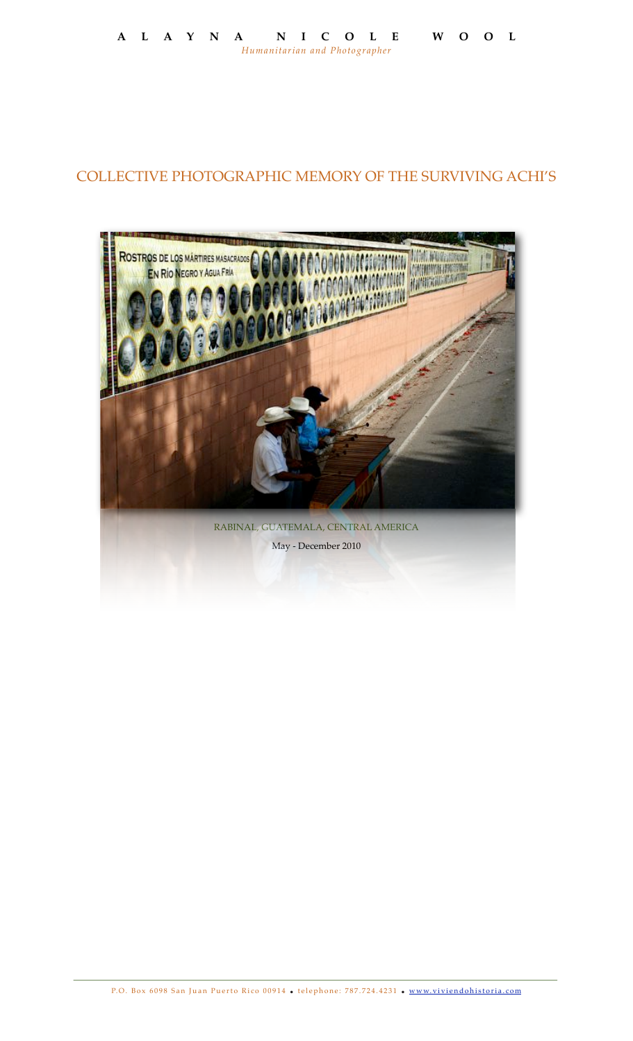## COLLECTIVE PHOTOGRAPHIC MEMORY OF THE SURVIVING ACHI'S

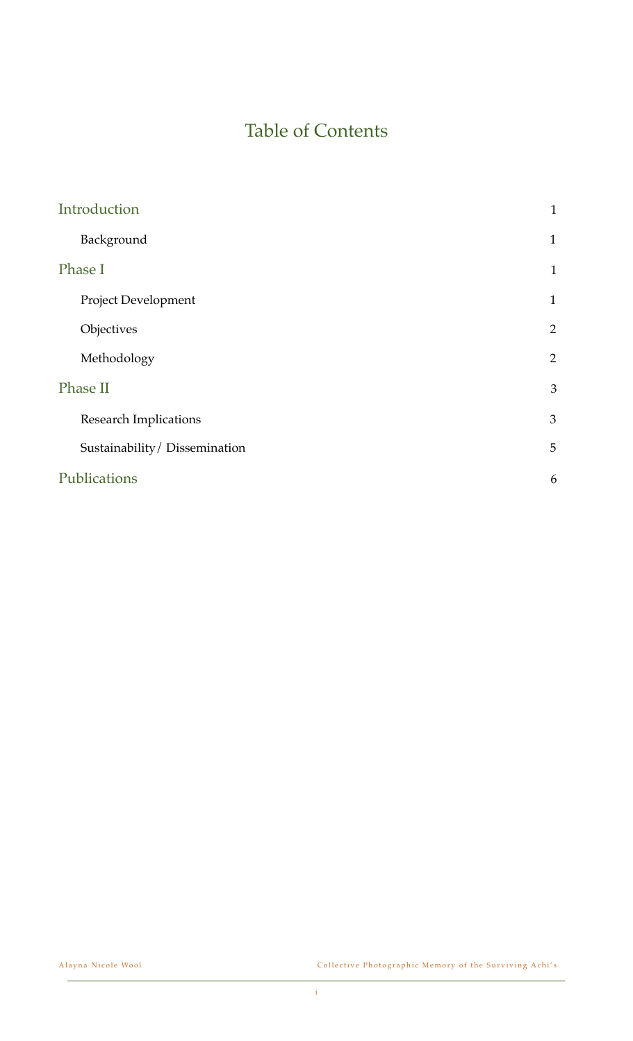# Table of Contents

| $\mathbf{1}$   |
|----------------|
| $\mathbf{1}$   |
| $\mathbf{1}$   |
| $\mathbf{1}$   |
| $\overline{2}$ |
| $\overline{2}$ |
| 3              |
| 3              |
| 5              |
| 6              |
|                |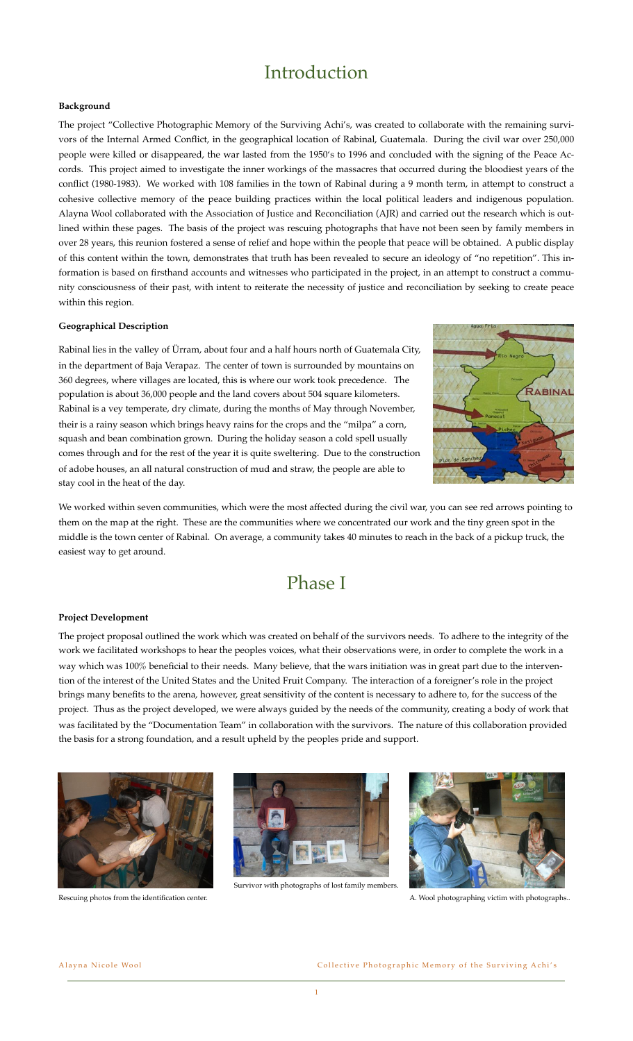# Introduction

### **Background**

The project "Collective Photographic Memory of the Surviving Achi's, was created to collaborate with the remaining survivors of the Internal Armed Conflict, in the geographical location of Rabinal, Guatemala. During the civil war over 250,000 people were killed or disappeared, the war lasted from the 1950's to 1996 and concluded with the signing of the Peace Accords. This project aimed to investigate the inner workings of the massacres that occurred during the bloodiest years of the conflict (1980-1983). We worked with 108 families in the town of Rabinal during a 9 month term, in attempt to construct a cohesive collective memory of the peace building practices within the local political leaders and indigenous population. Alayna Wool collaborated with the Association of Justice and Reconciliation (AJR) and carried out the research which is outlined within these pages. The basis of the project was rescuing photographs that have not been seen by family members in over 28 years, this reunion fostered a sense of relief and hope within the people that peace will be obtained. A public display of this content within the town, demonstrates that truth has been revealed to secure an ideology of "no repetition". This information is based on firsthand accounts and witnesses who participated in the project, in an attempt to construct a community consciousness of their past, with intent to reiterate the necessity of justice and reconciliation by seeking to create peace within this region.

### **Geographical Description**

Rabinal lies in the valley of Ürram, about four and a half hours north of Guatemala City, in the department of Baja Verapaz. The center of town is surrounded by mountains on 360 degrees, where villages are located, this is where our work took precedence. The population is about 36,000 people and the land covers about 504 square kilometers. Rabinal is a vey temperate, dry climate, during the months of May through November, their is a rainy season which brings heavy rains for the crops and the "milpa" a corn, squash and bean combination grown. During the holiday season a cold spell usually comes through and for the rest of the year it is quite sweltering. Due to the construction of adobe houses, an all natural construction of mud and straw, the people are able to stay cool in the heat of the day.



We worked within seven communities, which were the most affected during the civil war, you can see red arrows pointing to them on the map at the right. These are the communities where we concentrated our work and the tiny green spot in the middle is the town center of Rabinal. On average, a community takes 40 minutes to reach in the back of a pickup truck, the easiest way to get around.

## Phase I

#### **Project Development**

The project proposal outlined the work which was created on behalf of the survivors needs. To adhere to the integrity of the work we facilitated workshops to hear the peoples voices, what their observations were, in order to complete the work in a way which was 100% beneficial to their needs. Many believe, that the wars initiation was in great part due to the intervention of the interest of the United States and the United Fruit Company. The interaction of a foreigner's role in the project brings many benefits to the arena, however, great sensitivity of the content is necessary to adhere to, for the success of the project. Thus as the project developed, we were always guided by the needs of the community, creating a body of work that was facilitated by the "Documentation Team" in collaboration with the survivors. The nature of this collaboration provided the basis for a strong foundation, and a result upheld by the peoples pride and support.



Rescuing photos from the identification center.



Survivor with photographs of lost family members.



A. Wool photographing victim with photographs..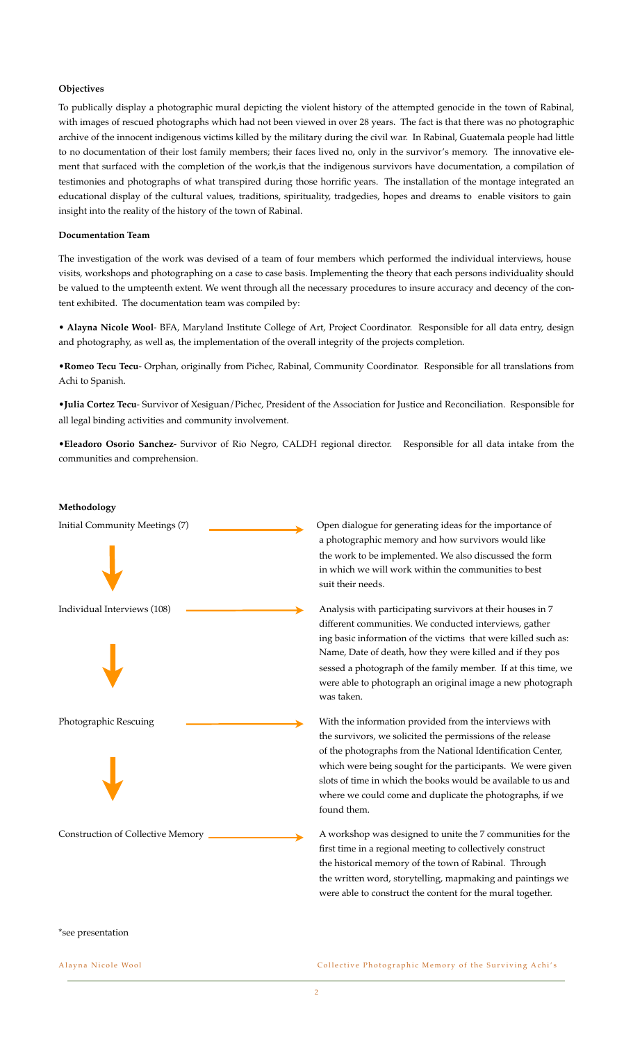### **Objectives**

To publically display a photographic mural depicting the violent history of the attempted genocide in the town of Rabinal, with images of rescued photographs which had not been viewed in over 28 years. The fact is that there was no photographic archive of the innocent indigenous victims killed by the military during the civil war. In Rabinal, Guatemala people had little to no documentation of their lost family members; their faces lived no, only in the survivor's memory. The innovative element that surfaced with the completion of the work,is that the indigenous survivors have documentation, a compilation of testimonies and photographs of what transpired during those horrific years. The installation of the montage integrated an educational display of the cultural values, traditions, spirituality, tradgedies, hopes and dreams to enable visitors to gain insight into the reality of the history of the town of Rabinal.

#### **Documentation Team**

The investigation of the work was devised of a team of four members which performed the individual interviews, house visits, workshops and photographing on a case to case basis. Implementing the theory that each persons individuality should be valued to the umpteenth extent. We went through all the necessary procedures to insure accuracy and decency of the content exhibited. The documentation team was compiled by:

• **Alayna Nicole Wool**- BFA, Maryland Institute College of Art, Project Coordinator. Responsible for all data entry, design and photography, as well as, the implementation of the overall integrity of the projects completion.

•**Romeo Tecu Tecu**- Orphan, originally from Pichec, Rabinal, Community Coordinator. Responsible for all translations from Achi to Spanish.

•**Julia Cortez Tecu**- Survivor of Xesiguan/Pichec, President of the Association for Justice and Reconciliation. Responsible for all legal binding activities and community involvement.

•**Eleadoro Osorio Sanchez**- Survivor of Rio Negro, CALDH regional director. Responsible for all data intake from the communities and comprehension.

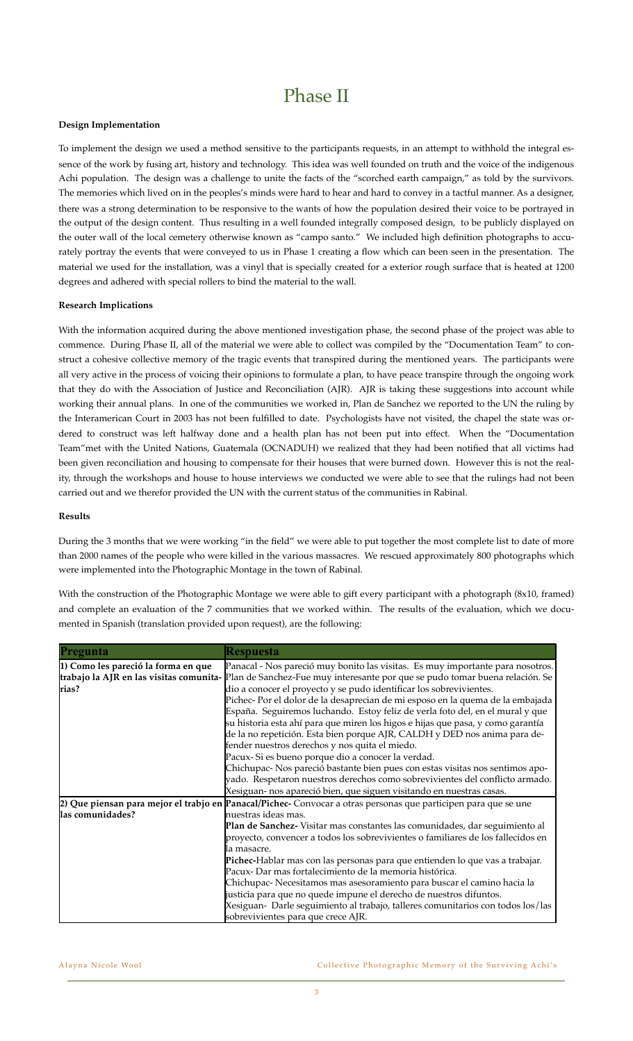# Phase II

### **Design Implementation**

To implement the design we used a method sensitive to the participants requests, in an attempt to withhold the integral essence of the work by fusing art, history and technology. This idea was well founded on truth and the voice of the indigenous Achi population. The design was a challenge to unite the facts of the "scorched earth campaign," as told by the survivors. The memories which lived on in the peoples's minds were hard to hear and hard to convey in a tactful manner. As a designer, there was a strong determination to be responsive to the wants of how the population desired their voice to be portrayed in the output of the design content. Thus resulting in a well founded integrally composed design, to be publicly displayed on the outer wall of the local cemetery otherwise known as "campo santo." We included high definition photographs to accurately portray the events that were conveyed to us in Phase 1 creating a flow which can been seen in the presentation. The material we used for the installation, was a vinyl that is specially created for a exterior rough surface that is heated at 1200 degrees and adhered with special rollers to bind the material to the wall.

### **Research Implications**

With the information acquired during the above mentioned investigation phase, the second phase of the project was able to commence. During Phase II, all of the material we were able to collect was compiled by the "Documentation Team" to construct a cohesive collective memory of the tragic events that transpired during the mentioned years. The participants were all very active in the process of voicing their opinions to formulate a plan, to have peace transpire through the ongoing work that they do with the Association of Justice and Reconciliation (AJR). AJR is taking these suggestions into account while working their annual plans. In one of the communities we worked in, Plan de Sanchez we reported to the UN the ruling by the Interamerican Court in 2003 has not been fulfilled to date. Psychologists have not visited, the chapel the state was ordered to construct was left halfway done and a health plan has not been put into effect. When the "Documentation Team"met with the United Nations, Guatemala (OCNADUH) we realized that they had been notified that all victims had been given reconciliation and housing to compensate for their houses that were burned down. However this is not the reality, through the workshops and house to house interviews we conducted we were able to see that the rulings had not been carried out and we therefor provided the UN with the current status of the communities in Rabinal.

#### **Results**

During the 3 months that we were working "in the field" we were able to put together the most complete list to date of more than 2000 names of the people who were killed in the various massacres. We rescued approximately 800 photographs which were implemented into the Photographic Montage in the town of Rabinal.

With the construction of the Photographic Montage we were able to gift every participant with a photograph (8x10, framed) and complete an evaluation of the 7 communities that we worked within. The results of the evaluation, which we documented in Spanish (translation provided upon request), are the following:

| Pregunta                                     | Respuesta                                                                                                                                                                                                                                                                                                                                                      |
|----------------------------------------------|----------------------------------------------------------------------------------------------------------------------------------------------------------------------------------------------------------------------------------------------------------------------------------------------------------------------------------------------------------------|
| 1) Como les pareció la forma en que<br>rias? | Panacal - Nos pareció muy bonito las visitas. Es muy importante para nosotros.<br>trabajo la AJR en las visitas comunita- Plan de Sanchez-Fue muy interesante por que se pudo tomar buena relación. Se<br>dio a conocer el proyecto y se pudo identificar los sobrevivientes.<br>Pichec-Por el dolor de la desaprecian de mi esposo en la quema de la embajada |
|                                              | España. Seguiremos luchando. Estoy feliz de verla foto del, en el mural y que<br>su historia esta ahí para que miren los higos e hijas que pasa, y como garantía<br>de la no repetición. Esta bien porque AJR, CALDH y DED nos anima para de-<br>fender nuestros derechos y nos quita el miedo.                                                                |
|                                              | Pacux-Si es bueno porque dio a conocer la verdad.<br>Chichupac-Nos pareció bastante bien pues con estas visitas nos sentimos apo-                                                                                                                                                                                                                              |
|                                              | yado. Respetaron nuestros derechos como sobrevivientes del conflicto armado.<br>Xesiguan- nos apareció bien, que siguen visitando en nuestras casas.                                                                                                                                                                                                           |
|                                              | 2) Que piensan para mejor el trabjo en Panacal/Pichec-Convocar a otras personas que participen para que se une                                                                                                                                                                                                                                                 |
| las comunidades?                             | nuestras ideas mas.                                                                                                                                                                                                                                                                                                                                            |
|                                              | Plan de Sanchez- Visitar mas constantes las comunidades, dar seguimiento al                                                                                                                                                                                                                                                                                    |
|                                              | proyecto, convencer a todos los sobrevivientes o familiares de los fallecidos en                                                                                                                                                                                                                                                                               |
|                                              | la masacre.                                                                                                                                                                                                                                                                                                                                                    |
|                                              | Pichec-Hablar mas con las personas para que entienden lo que vas a trabajar.                                                                                                                                                                                                                                                                                   |
|                                              | Pacux-Dar mas fortalecimiento de la memoria histórica.                                                                                                                                                                                                                                                                                                         |
|                                              | Chichupac-Necesitamos mas asesoramiento para buscar el camino hacia la                                                                                                                                                                                                                                                                                         |
|                                              | justicia para que no quede impune el derecho de nuestros difuntos.                                                                                                                                                                                                                                                                                             |
|                                              | Xesiguan- Darle seguimiento al trabajo, talleres comunitarios con todos los/las                                                                                                                                                                                                                                                                                |
|                                              | sobrevivientes para que crece AJR.                                                                                                                                                                                                                                                                                                                             |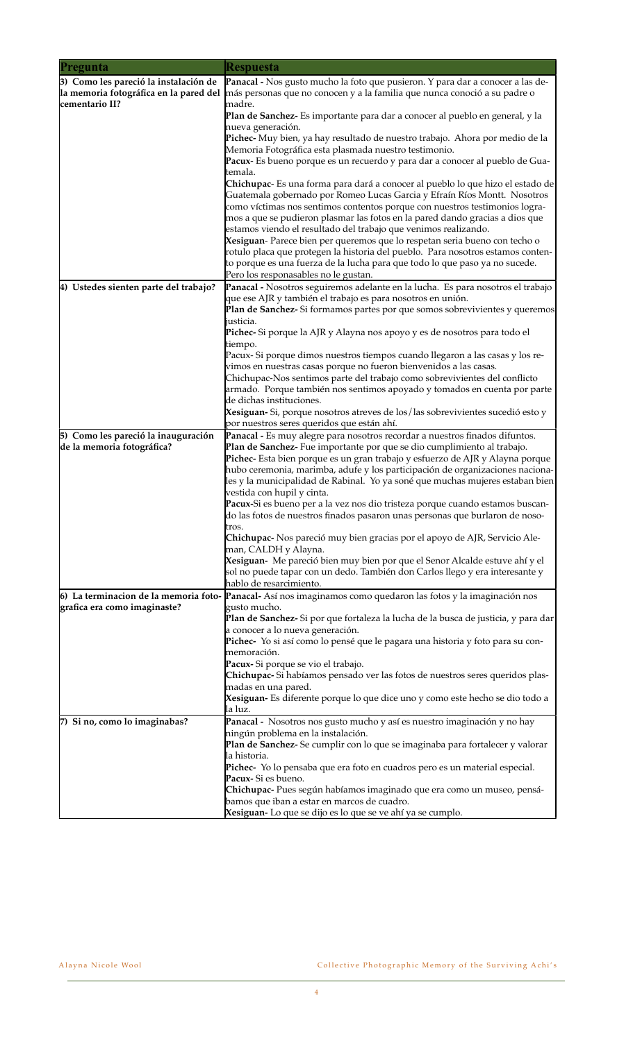| Pregunta                                                              | <b>Respuesta</b>                                                                                                                                               |
|-----------------------------------------------------------------------|----------------------------------------------------------------------------------------------------------------------------------------------------------------|
| 3) Como les pareció la instalación de                                 | <b>Panacal -</b> Nos gusto mucho la foto que pusieron. Y para dar a conocer a las de-                                                                          |
| la memoria fotográfica en la pared del                                | más personas que no conocen y a la familia que nunca conoció a su padre o                                                                                      |
| cementario II?                                                        | madre.                                                                                                                                                         |
|                                                                       | Plan de Sanchez- Es importante para dar a conocer al pueblo en general, y la                                                                                   |
|                                                                       | nueva generación.<br>Pichec-Muy bien, ya hay resultado de nuestro trabajo. Ahora por medio de la                                                               |
|                                                                       | Memoria Fotográfica esta plasmada nuestro testimonio.                                                                                                          |
|                                                                       | Pacux- Es bueno porque es un recuerdo y para dar a conocer al pueblo de Gua-                                                                                   |
|                                                                       | temala.                                                                                                                                                        |
|                                                                       | <b>Chichupac</b> - Es una forma para dará a conocer al pueblo lo que hizo el estado de                                                                         |
|                                                                       | Guatemala gobernado por Romeo Lucas Garcia y Efraín Ríos Montt. Nosotros                                                                                       |
|                                                                       | como víctimas nos sentimos contentos porque con nuestros testimonios logra-<br>mos a que se pudieron plasmar las fotos en la pared dando gracias a dios que    |
|                                                                       | estamos viendo el resultado del trabajo que venimos realizando.                                                                                                |
|                                                                       | Xesiguan- Parece bien per queremos que lo respetan seria bueno con techo o                                                                                     |
|                                                                       | rotulo placa que protegen la historia del pueblo. Para nosotros estamos conten-                                                                                |
|                                                                       | to porque es una fuerza de la lucha para que todo lo que paso ya no sucede.<br>Pero los responasables no le gustan.                                            |
| 4) Ustedes sienten parte del trabajo?                                 | Panacal - Nosotros seguiremos adelante en la lucha. Es para nosotros el trabajo                                                                                |
|                                                                       | que ese AJR y también el trabajo es para nosotros en unión.                                                                                                    |
|                                                                       | Plan de Sanchez-Si formamos partes por que somos sobrevivientes y queremos                                                                                     |
|                                                                       | justicia.                                                                                                                                                      |
|                                                                       | <b>Pichec-</b> Si porque la AJR y Alayna nos apoyo y es de nosotros para todo el<br>tiempo.                                                                    |
|                                                                       | Pacux- Si porque dimos nuestros tiempos cuando llegaron a las casas y los re-                                                                                  |
|                                                                       | vimos en nuestras casas porque no fueron bienvenidos a las casas.                                                                                              |
|                                                                       | Chichupac-Nos sentimos parte del trabajo como sobrevivientes del conflicto                                                                                     |
|                                                                       | armado. Porque también nos sentimos apoyado y tomados en cuenta por parte                                                                                      |
|                                                                       | de dichas instituciones.<br>Xesiguan-Si, porque nosotros atreves de los/las sobrevivientes sucedió esto y                                                      |
|                                                                       | por nuestros seres queridos que están ahí.                                                                                                                     |
| 5) Como les pareció la inauguración                                   | Panacal - Es muy alegre para nosotros recordar a nuestros finados difuntos.                                                                                    |
| de la memoria fotográfica?                                            | Plan de Sanchez- Fue importante por que se dio cumplimiento al trabajo.                                                                                        |
|                                                                       | <b>Pichec-</b> Esta bien porque es un gran trabajo y esfuerzo de AJR y Alayna porque                                                                           |
|                                                                       | hubo ceremonia, marimba, adufe y los participación de organizaciones naciona-<br>les y la municipalidad de Rabinal. Yo ya soné que muchas mujeres estaban bien |
|                                                                       | vestida con hupil y cinta.                                                                                                                                     |
|                                                                       | Pacux-Si es bueno per a la vez nos dio tristeza porque cuando estamos buscan-                                                                                  |
|                                                                       | do las fotos de nuestros finados pasaron unas personas que burlaron de noso-                                                                                   |
|                                                                       | tros.<br>Chichupac- Nos pareció muy bien gracias por el apoyo de AJR, Servicio Ale-                                                                            |
|                                                                       | man, CALDH y Alayna.                                                                                                                                           |
|                                                                       | Xesiguan-Me pareció bien muy bien por que el Senor Alcalde estuve ahí y el                                                                                     |
|                                                                       | sol no puede tapar con un dedo. También don Carlos llego y era interesante y                                                                                   |
|                                                                       | hablo de resarcimiento.                                                                                                                                        |
| 6) La terminacion de la memoria foto-<br>grafica era como imaginaste? | Panacal- Así nos imaginamos como quedaron las fotos y la imaginación nos<br>gusto mucho.                                                                       |
|                                                                       | <b>Plan de Sanchez-</b> Si por que fortaleza la lucha de la busca de justicia, y para dar                                                                      |
|                                                                       | a conocer a lo nueva generación.                                                                                                                               |
|                                                                       | Pichec- Yo si así como lo pensé que le pagara una historia y foto para su con-                                                                                 |
|                                                                       | memoración.                                                                                                                                                    |
|                                                                       | Pacux- Si porque se vio el trabajo.<br>Chichupac-Si habíamos pensado ver las fotos de nuestros seres queridos plas-                                            |
|                                                                       | madas en una pared.                                                                                                                                            |
|                                                                       | Xesiguan- Es diferente porque lo que dice uno y como este hecho se dio todo a                                                                                  |
|                                                                       | la luz.                                                                                                                                                        |
| 7) Si no, como lo imaginabas?                                         | Panacal - Nosotros nos gusto mucho y así es nuestro imaginación y no hay                                                                                       |
|                                                                       | ningún problema en la instalación.<br>Plan de Sanchez-Se cumplir con lo que se imaginaba para fortalecer y valorar                                             |
|                                                                       | la historia.                                                                                                                                                   |
|                                                                       | Pichec- Yo lo pensaba que era foto en cuadros pero es un material especial.                                                                                    |
|                                                                       | Pacux-Si es bueno.                                                                                                                                             |
|                                                                       | Chichupac- Pues según habíamos imaginado que era como un museo, pensá-<br>bamos que iban a estar en marcos de cuadro.                                          |
|                                                                       | Xesiguan-Lo que se dijo es lo que se ve ahí ya se cumplo.                                                                                                      |

 $\overline{a}$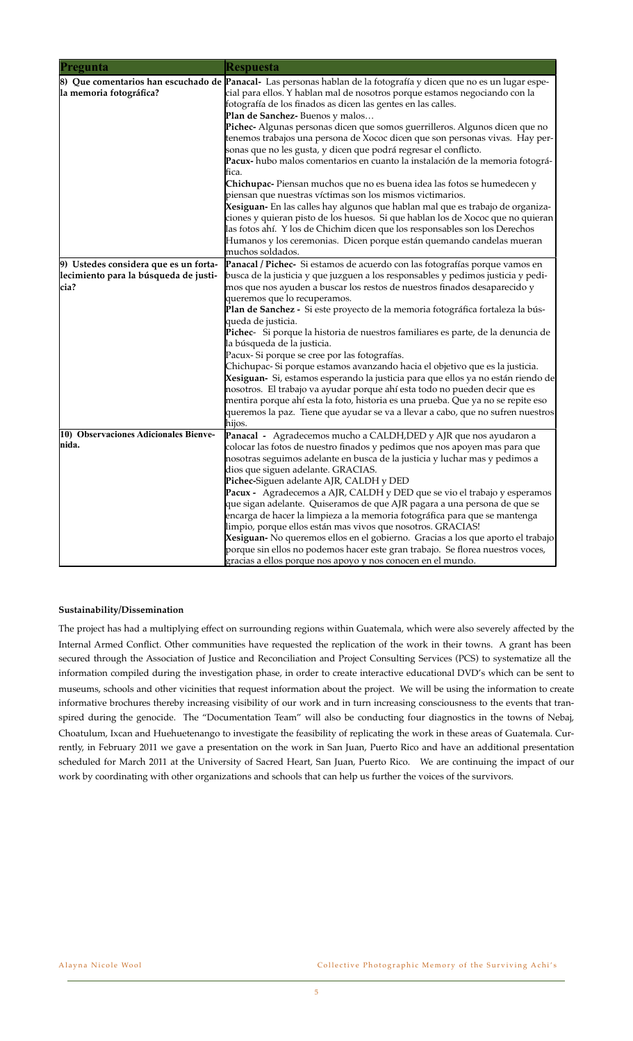| Pregunta                                                                               | <b>Respuesta</b>                                                                                                                                                                                                                                                                                                                                                                                                                                                                                                                                                                                                                                                                                                                                                                                                                                                                                                                                                                                                                                                                                                               |
|----------------------------------------------------------------------------------------|--------------------------------------------------------------------------------------------------------------------------------------------------------------------------------------------------------------------------------------------------------------------------------------------------------------------------------------------------------------------------------------------------------------------------------------------------------------------------------------------------------------------------------------------------------------------------------------------------------------------------------------------------------------------------------------------------------------------------------------------------------------------------------------------------------------------------------------------------------------------------------------------------------------------------------------------------------------------------------------------------------------------------------------------------------------------------------------------------------------------------------|
| la memoria fotográfica?                                                                | 8) Que comentarios han escuchado de Panacal-Las personas hablan de la fotografía y dicen que no es un lugar espe-<br>cial para ellos. Y hablan mal de nosotros porque estamos negociando con la<br>fotografía de los finados as dicen las gentes en las calles.<br>Plan de Sanchez-Buenos y malos<br>Pichec- Algunas personas dicen que somos guerrilleros. Algunos dicen que no<br>tenemos trabajos una persona de Xococ dicen que son personas vivas. Hay per-<br>sonas que no les gusta, y dicen que podrá regresar el conflicto.<br>Pacux- hubo malos comentarios en cuanto la instalación de la memoria fotográ-<br>fica.<br><b>Chichupac-</b> Piensan muchos que no es buena idea las fotos se humedecen y<br>piensan que nuestras víctimas son los mismos victimarios.<br>Xesiguan- En las calles hay algunos que hablan mal que es trabajo de organiza-<br>ciones y quieran pisto de los huesos. Si que hablan los de Xococ que no quieran<br>las fotos ahí. Y los de Chichim dicen que los responsables son los Derechos<br>Humanos y los ceremonias. Dicen porque están quemando candelas mueran<br>muchos soldados. |
| 9) Ustedes considera que es un forta-<br>lecimiento para la búsqueda de justi-<br>cia? | Panacal / Pichec- Si estamos de acuerdo con las fotografías porque vamos en<br>busca de la justicia y que juzguen a los responsables y pedimos justicia y pedi-<br>mos que nos ayuden a buscar los restos de nuestros finados desaparecido y<br>queremos que lo recuperamos.<br>Plan de Sanchez - Si este proyecto de la memoria fotográfica fortaleza la bús-<br>queda de justicia.<br>Pichec- Si porque la historia de nuestros familiares es parte, de la denuncia de<br>la búsqueda de la justicia.<br>Pacux- Si porque se cree por las fotografías.<br>Chichupac- Si porque estamos avanzando hacia el objetivo que es la justicia.<br>Xesiguan- Si, estamos esperando la justicia para que ellos ya no están riendo de<br>nosotros. El trabajo va ayudar porque ahí esta todo no pueden decir que es<br>mentira porque ahí esta la foto, historia es una prueba. Que ya no se repite eso<br>queremos la paz. Tiene que ayudar se va a llevar a cabo, que no sufren nuestros<br>hijos.                                                                                                                                    |
| 10) Observaciones Adicionales Bienve-<br>lnida.                                        | Panacal - Agradecemos mucho a CALDH, DED y AJR que nos ayudaron a<br>colocar las fotos de nuestro finados y pedimos que nos apoyen mas para que<br>nosotras seguimos adelante en busca de la justicia y luchar mas y pedimos a<br>dios que siguen adelante. GRACIAS.<br>Pichec-Siguen adelante AJR, CALDH y DED<br>Pacux - Agradecemos a AJR, CALDH y DED que se vio el trabajo y esperamos<br>que sigan adelante. Quiseramos de que AJR pagara a una persona de que se<br>encarga de hacer la limpieza a la memoria fotográfica para que se mantenga<br>limpio, porque ellos están mas vivos que nosotros. GRACIAS!<br>Xesiguan-No queremos ellos en el gobierno. Gracias a los que aporto el trabajo<br>porque sin ellos no podemos hacer este gran trabajo. Se florea nuestros voces,<br>gracias a ellos porque nos apoyo y nos conocen en el mundo.                                                                                                                                                                                                                                                                        |

### **Sustainability/Dissemination**

The project has had a multiplying effect on surrounding regions within Guatemala, which were also severely affected by the Internal Armed Conflict. Other communities have requested the replication of the work in their towns. A grant has been secured through the Association of Justice and Reconciliation and Project Consulting Services (PCS) to systematize all the information compiled during the investigation phase, in order to create interactive educational DVD's which can be sent to museums, schools and other vicinities that request information about the project. We will be using the information to create informative brochures thereby increasing visibility of our work and in turn increasing consciousness to the events that transpired during the genocide. The "Documentation Team" will also be conducting four diagnostics in the towns of Nebaj, Choatulum, Ixcan and Huehuetenango to investigate the feasibility of replicating the work in these areas of Guatemala. Currently, in February 2011 we gave a presentation on the work in San Juan, Puerto Rico and have an additional presentation scheduled for March 2011 at the University of Sacred Heart, San Juan, Puerto Rico. We are continuing the impact of our work by coordinating with other organizations and schools that can help us further the voices of the survivors.